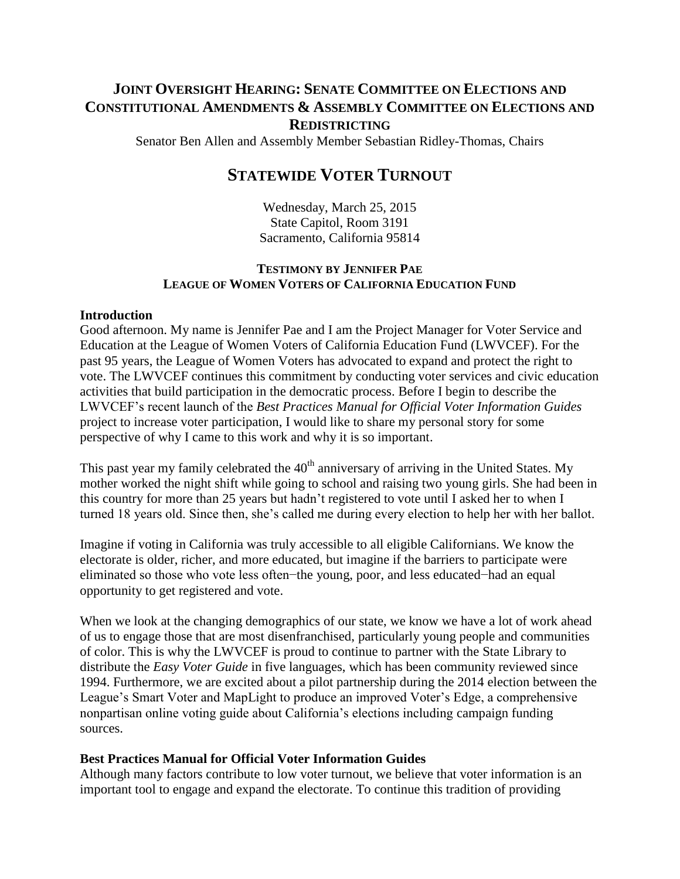## **JOINT OVERSIGHT HEARING: SENATE COMMITTEE ON ELECTIONS AND CONSTITUTIONAL AMENDMENTS & ASSEMBLY COMMITTEE ON ELECTIONS AND REDISTRICTING**

Senator Ben Allen and Assembly Member Sebastian Ridley-Thomas, Chairs

# **STATEWIDE VOTER TURNOUT**

Wednesday, March 25, 2015 State Capitol, Room 3191 Sacramento, California 95814

## **TESTIMONY BY JENNIFER PAE LEAGUE OF WOMEN VOTERS OF CALIFORNIA EDUCATION FUND**

#### **Introduction**

Good afternoon. My name is Jennifer Pae and I am the Project Manager for Voter Service and Education at the League of Women Voters of California Education Fund (LWVCEF). For the past 95 years, the League of Women Voters has advocated to expand and protect the right to vote. The LWVCEF continues this commitment by conducting voter services and civic education activities that build participation in the democratic process. Before I begin to describe the LWVCEF's recent launch of the *Best Practices Manual for Official Voter Information Guides* project to increase voter participation, I would like to share my personal story for some perspective of why I came to this work and why it is so important.

This past year my family celebrated the  $40<sup>th</sup>$  anniversary of arriving in the United States. My mother worked the night shift while going to school and raising two young girls. She had been in this country for more than 25 years but hadn't registered to vote until I asked her to when I turned 18 years old. Since then, she's called me during every election to help her with her ballot.

Imagine if voting in California was truly accessible to all eligible Californians. We know the electorate is older, richer, and more educated, but imagine if the barriers to participate were eliminated so those who vote less often−the young, poor, and less educated−had an equal opportunity to get registered and vote.

When we look at the changing demographics of our state, we know we have a lot of work ahead of us to engage those that are most disenfranchised, particularly young people and communities of color. This is why the LWVCEF is proud to continue to partner with the State Library to distribute the *Easy Voter Guide* in five languages, which has been community reviewed since 1994. Furthermore, we are excited about a pilot partnership during the 2014 election between the League's Smart Voter and MapLight to produce an improved Voter's Edge, a comprehensive nonpartisan online voting guide about California's elections including campaign funding sources.

#### **Best Practices Manual for Official Voter Information Guides**

Although many factors contribute to low voter turnout, we believe that voter information is an important tool to engage and expand the electorate. To continue this tradition of providing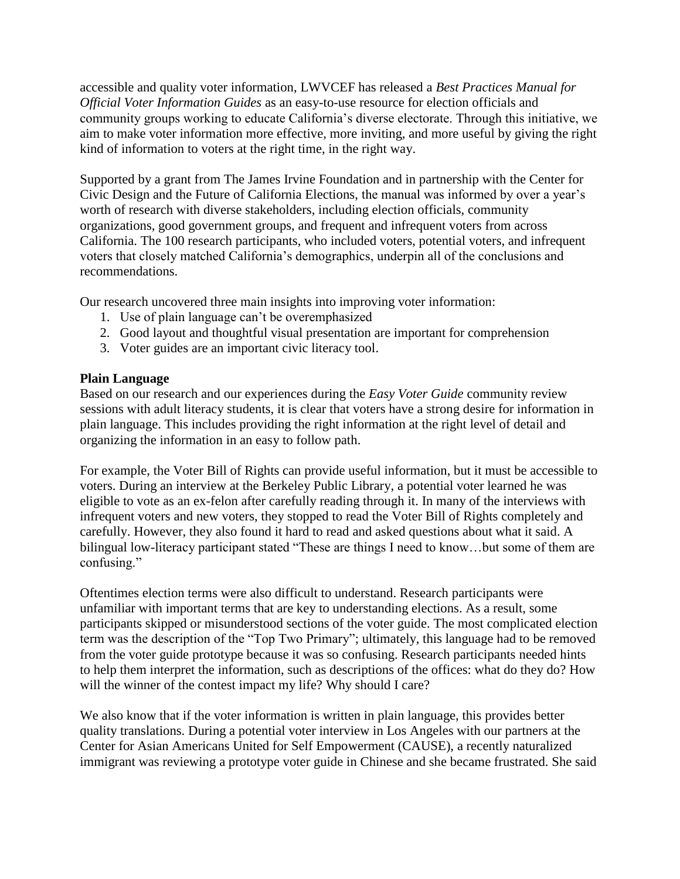accessible and quality voter information, LWVCEF has released a *Best Practices Manual for Official Voter Information Guides* as an easy-to-use resource for election officials and community groups working to educate California's diverse electorate. Through this initiative, we aim to make voter information more effective, more inviting, and more useful by giving the right kind of information to voters at the right time, in the right way.

Supported by a grant from The James Irvine Foundation and in partnership with the Center for Civic Design and the Future of California Elections, the manual was informed by over a year's worth of research with diverse stakeholders, including election officials, community organizations, good government groups, and frequent and infrequent voters from across California. The 100 research participants, who included voters, potential voters, and infrequent voters that closely matched California's demographics, underpin all of the conclusions and recommendations.

Our research uncovered three main insights into improving voter information:

- 1. Use of plain language can't be overemphasized
- 2. Good layout and thoughtful visual presentation are important for comprehension
- 3. Voter guides are an important civic literacy tool.

## **Plain Language**

Based on our research and our experiences during the *Easy Voter Guide* community review sessions with adult literacy students, it is clear that voters have a strong desire for information in plain language. This includes providing the right information at the right level of detail and organizing the information in an easy to follow path.

For example, the Voter Bill of Rights can provide useful information, but it must be accessible to voters. During an interview at the Berkeley Public Library, a potential voter learned he was eligible to vote as an ex-felon after carefully reading through it. In many of the interviews with infrequent voters and new voters, they stopped to read the Voter Bill of Rights completely and carefully. However, they also found it hard to read and asked questions about what it said. A bilingual low-literacy participant stated "These are things I need to know...but some of them are confusing."

Oftentimes election terms were also difficult to understand. Research participants were unfamiliar with important terms that are key to understanding elections. As a result, some participants skipped or misunderstood sections of the voter guide. The most complicated election term was the description of the "Top Two Primary"; ultimately, this language had to be removed from the voter guide prototype because it was so confusing. Research participants needed hints to help them interpret the information, such as descriptions of the offices: what do they do? How will the winner of the contest impact my life? Why should I care?

We also know that if the voter information is written in plain language, this provides better quality translations. During a potential voter interview in Los Angeles with our partners at the Center for Asian Americans United for Self Empowerment (CAUSE), a recently naturalized immigrant was reviewing a prototype voter guide in Chinese and she became frustrated. She said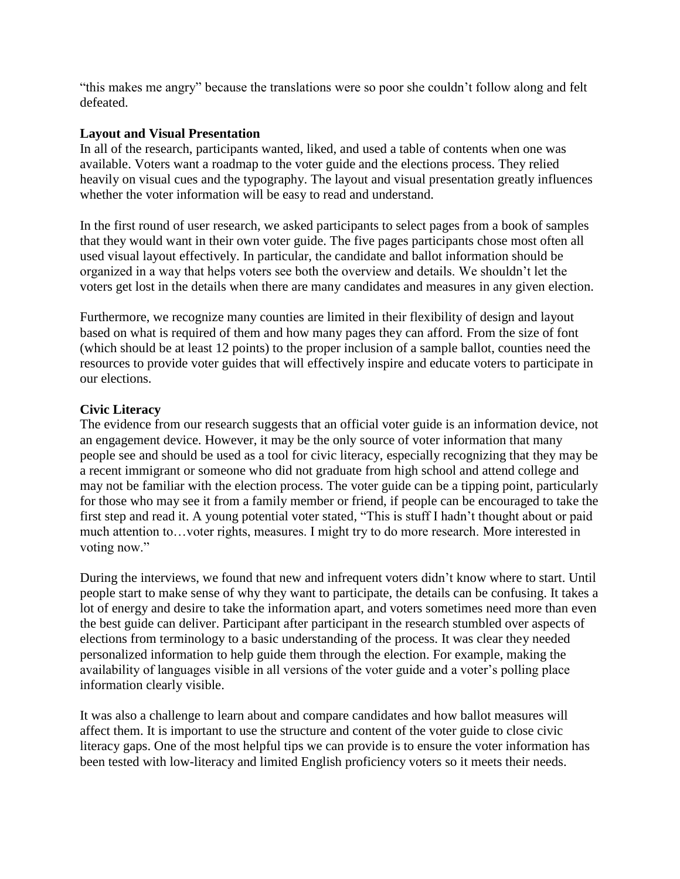"this makes me angry" because the translations were so poor she couldn't follow along and felt defeated.

#### **Layout and Visual Presentation**

In all of the research, participants wanted, liked, and used a table of contents when one was available. Voters want a roadmap to the voter guide and the elections process. They relied heavily on visual cues and the typography. The layout and visual presentation greatly influences whether the voter information will be easy to read and understand.

In the first round of user research, we asked participants to select pages from a book of samples that they would want in their own voter guide. The five pages participants chose most often all used visual layout effectively. In particular, the candidate and ballot information should be organized in a way that helps voters see both the overview and details. We shouldn't let the voters get lost in the details when there are many candidates and measures in any given election.

Furthermore, we recognize many counties are limited in their flexibility of design and layout based on what is required of them and how many pages they can afford. From the size of font (which should be at least 12 points) to the proper inclusion of a sample ballot, counties need the resources to provide voter guides that will effectively inspire and educate voters to participate in our elections.

## **Civic Literacy**

The evidence from our research suggests that an official voter guide is an information device, not an engagement device. However, it may be the only source of voter information that many people see and should be used as a tool for civic literacy, especially recognizing that they may be a recent immigrant or someone who did not graduate from high school and attend college and may not be familiar with the election process. The voter guide can be a tipping point, particularly for those who may see it from a family member or friend, if people can be encouraged to take the first step and read it. A young potential voter stated, "This is stuff I hadn't thought about or paid much attention to…voter rights, measures. I might try to do more research. More interested in voting now."

During the interviews, we found that new and infrequent voters didn't know where to start. Until people start to make sense of why they want to participate, the details can be confusing. It takes a lot of energy and desire to take the information apart, and voters sometimes need more than even the best guide can deliver. Participant after participant in the research stumbled over aspects of elections from terminology to a basic understanding of the process. It was clear they needed personalized information to help guide them through the election. For example, making the availability of languages visible in all versions of the voter guide and a voter's polling place information clearly visible.

It was also a challenge to learn about and compare candidates and how ballot measures will affect them. It is important to use the structure and content of the voter guide to close civic literacy gaps. One of the most helpful tips we can provide is to ensure the voter information has been tested with low-literacy and limited English proficiency voters so it meets their needs.